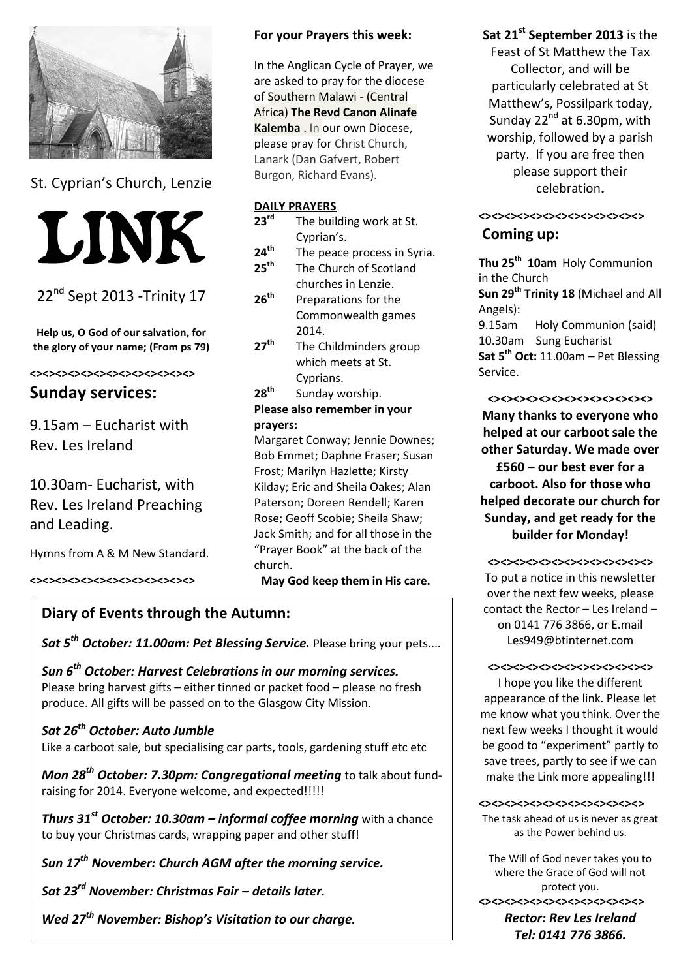

St. Cyprian's Church, Lenzie



22<sup>nd</sup> Sept 2013 - Trinity 17

**Help us, O God of our salvation, for the glory of your name; (From ps 79)**

#### **<><><><><><><><><><><><><>**

## **Sunday services:**

9.15am – Eucharist with Rev. Les Ireland

10.30am- Eucharist, with Rev. Les Ireland Preaching and Leading.

Hymns from A & M New Standard.

**<><><><><><><><><><><><><>**

#### **For your Prayers this week:**

In the Anglican Cycle of Prayer, we are asked to pray for the diocese of Southern Malawi - (Central Africa) **[The Revd Canon Alinafe](http://www.anglicancommunion.org/tour/diocese.cfm?Idind=114)  [Kalemba](http://www.anglicancommunion.org/tour/diocese.cfm?Idind=114)** . In our own Diocese, please pray for Christ Church, Lanark (Dan Gafvert, Robert Burgon, Richard Evans).

#### **DAILY PRAYERS**

- **23rd** The building work at St. Cyprian's.
- **24th** The peace process in Syria.
- **25th** The Church of Scotland churches in Lenzie.
- **26th** Preparations for the Commonwealth games 2014.
- **27 th** The Childminders group which meets at St. Cyprians.
- **28 th** Sunday worship.

#### **Please also remember in your prayers:**

Margaret Conway; Jennie Downes; Bob Emmet; Daphne Fraser; Susan Frost; Marilyn Hazlette; Kirsty Kilday; Eric and Sheila Oakes; Alan Paterson; Doreen Rendell; Karen Rose; Geoff Scobie; Sheila Shaw; Jack Smith; and for all those in the "Prayer Book" at the back of the church. **May God keep them in His care.**

## **Diary of Events through the Autumn:**

*Sat 5th October: 11.00am: Pet Blessing Service.* Please bring your pets....

*Sun 6th October: Harvest Celebrations in our morning services.* Please bring harvest gifts – either tinned or packet food – please no fresh produce. All gifts will be passed on to the Glasgow City Mission.

## *Sat 26th October: Auto Jumble*

Like a carboot sale, but specialising car parts, tools, gardening stuff etc etc

*Mon 28th October: 7.30pm: Congregational meeting* to talk about fundraising for 2014. Everyone welcome, and expected!!!!!

*Thurs 31st October: 10.30am – informal coffee morning* with a chance to buy your Christmas cards, wrapping paper and other stuff!

*Sun 17th November: Church AGM after the morning service.*

*Sat 23rd November: Christmas Fair – details later.*

*Wed 27th November: Bishop's Visitation to our charge.*

## **Sat 21st September 2013** is the

Feast of St Matthew the Tax Collector, and will be particularly celebrated at St Matthew's, Possilpark today, Sunday  $22^{nd}$  at 6.30pm, with worship, followed by a parish party. If you are free then please support their celebration**.** 

# **<><><><><><><><><><><><><>**

### **Coming up:**

**Thu 25th 10am** Holy Communion in the Church **Sun 29th Trinity 18** (Michael and All Angels): 9.15am Holy Communion (said) 10.30am Sung Eucharist **Sat 5th Oct:** 11.00am – Pet Blessing Service.

**<><><><><><><><><><><><><>**

**Many thanks to everyone who helped at our carboot sale the other Saturday. We made over £560 – our best ever for a carboot. Also for those who helped decorate our church for Sunday, and get ready for the builder for Monday!**

**<><><><><><><><><><><><><>**

To put a notice in this newsletter over the next few weeks, please contact the Rector – Les Ireland – on 0141 776 3866, or E.mail Les949@btinternet.com

#### **<><><><><><><><><><><><><>**

I hope you like the different appearance of the link. Please let me know what you think. Over the next few weeks I thought it would be good to "experiment" partly to save trees, partly to see if we can make the Link more appealing!!!

**<><><><><><><><><><><><><>**

The task ahead of us is never as great as the Power behind us.

The Will of God never takes you to where the Grace of God will not protect you. **<><><><><><><><><><><><><>** *Rector: Rev Les Ireland Tel: 0141 776 3866.*